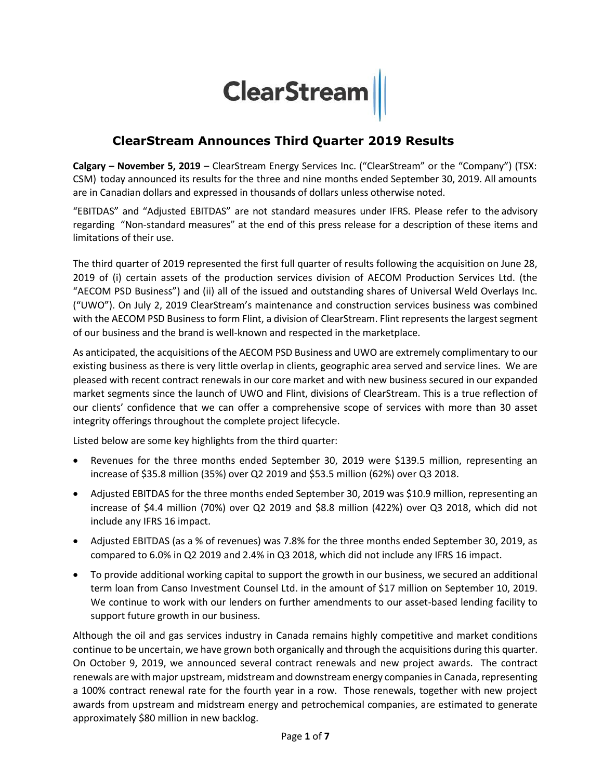# **ClearStream**

## **ClearStream Announces Third Quarter 2019 Results**

**Calgary – November 5, 2019** – ClearStream Energy Services Inc. ("ClearStream" or the "Company") (TSX: CSM) today announced its results for the three and nine months ended September 30, 2019. All amounts are in Canadian dollars and expressed in thousands of dollars unless otherwise noted.

"EBITDAS" and "Adjusted EBITDAS" are not standard measures under IFRS. Please refer to the advisory regarding "Non-standard measures" at the end of this press release for a description of these items and limitations of their use.

The third quarter of 2019 represented the first full quarter of results following the acquisition on June 28, 2019 of (i) certain assets of the production services division of AECOM Production Services Ltd. (the "AECOM PSD Business") and (ii) all of the issued and outstanding shares of Universal Weld Overlays Inc. ("UWO"). On July 2, 2019 ClearStream's maintenance and construction services business was combined with the AECOM PSD Business to form Flint, a division of ClearStream. Flint represents the largest segment of our business and the brand is well-known and respected in the marketplace.

As anticipated, the acquisitions of the AECOM PSD Business and UWO are extremely complimentary to our existing business as there is very little overlap in clients, geographic area served and service lines. We are pleased with recent contract renewals in our core market and with new business secured in our expanded market segments since the launch of UWO and Flint, divisions of ClearStream. This is a true reflection of our clients' confidence that we can offer a comprehensive scope of services with more than 30 asset integrity offerings throughout the complete project lifecycle.

Listed below are some key highlights from the third quarter:

- Revenues for the three months ended September 30, 2019 were \$139.5 million, representing an increase of \$35.8 million (35%) over Q2 2019 and \$53.5 million (62%) over Q3 2018.
- Adjusted EBITDAS for the three months ended September 30, 2019 was \$10.9 million, representing an increase of \$4.4 million (70%) over Q2 2019 and \$8.8 million (422%) over Q3 2018, which did not include any IFRS 16 impact.
- Adjusted EBITDAS (as a % of revenues) was 7.8% for the three months ended September 30, 2019, as compared to 6.0% in Q2 2019 and 2.4% in Q3 2018, which did not include any IFRS 16 impact.
- To provide additional working capital to support the growth in our business, we secured an additional term loan from Canso Investment Counsel Ltd. in the amount of \$17 million on September 10, 2019. We continue to work with our lenders on further amendments to our asset-based lending facility to support future growth in our business.

Although the oil and gas services industry in Canada remains highly competitive and market conditions continue to be uncertain, we have grown both organically and through the acquisitions during this quarter. On October 9, 2019, we announced several contract renewals and new project awards. The contract renewals are with major upstream, midstream and downstream energy companies in Canada, representing a 100% contract renewal rate for the fourth year in a row. Those renewals, together with new project awards from upstream and midstream energy and petrochemical companies, are estimated to generate approximately \$80 million in new backlog.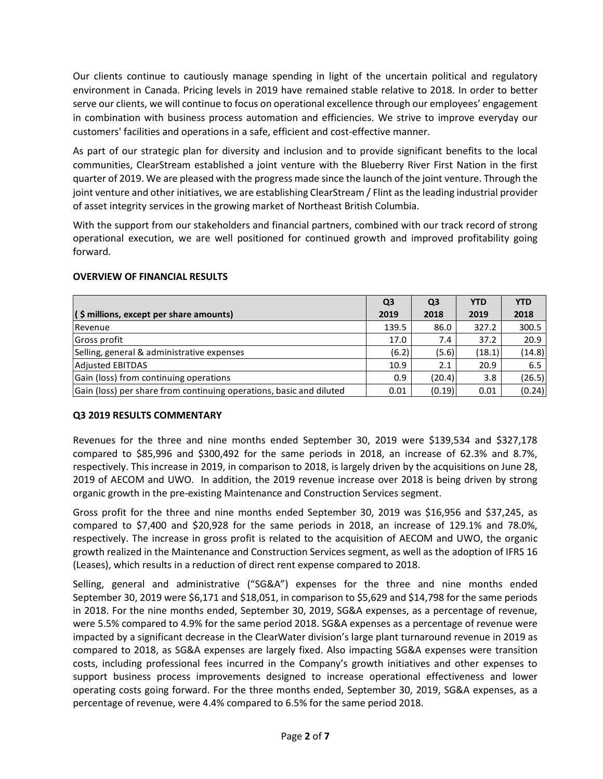Our clients continue to cautiously manage spending in light of the uncertain political and regulatory environment in Canada. Pricing levels in 2019 have remained stable relative to 2018. In order to better serve our clients, we will continue to focus on operational excellence through our employees' engagement in combination with business process automation and efficiencies. We strive to improve everyday our customers' facilities and operations in a safe, efficient and cost-effective manner.

As part of our strategic plan for diversity and inclusion and to provide significant benefits to the local communities, ClearStream established a joint venture with the Blueberry River First Nation in the first quarter of 2019. We are pleased with the progress made since the launch of the joint venture. Through the joint venture and other initiatives, we are establishing ClearStream / Flint as the leading industrial provider of asset integrity services in the growing market of Northeast British Columbia.

With the support from our stakeholders and financial partners, combined with our track record of strong operational execution, we are well positioned for continued growth and improved profitability going forward.

|                                                                     | Q <sub>3</sub> | Q <sub>3</sub> | <b>YTD</b> | <b>YTD</b> |
|---------------------------------------------------------------------|----------------|----------------|------------|------------|
| $($ \$ millions, except per share amounts $)$                       | 2019           | 2018           | 2019       | 2018       |
| Revenue                                                             | 139.5          | 86.0           | 327.2      | 300.5      |
| Gross profit                                                        | 17.0           | 7.4            | 37.2       | 20.9       |
| Selling, general & administrative expenses                          | (6.2)          | (5.6)          | (18.1)     | (14.8)     |
| <b>Adjusted EBITDAS</b>                                             | 10.9           | 2.1            | 20.9       | 6.5        |
| Gain (loss) from continuing operations                              | 0.9            | (20.4)         | 3.8        | (26.5)     |
| Gain (loss) per share from continuing operations, basic and diluted | 0.01           | (0.19)         | 0.01       | (0.24)     |

#### **OVERVIEW OF FINANCIAL RESULTS**

## **Q3 2019 RESULTS COMMENTARY**

Revenues for the three and nine months ended September 30, 2019 were \$139,534 and \$327,178 compared to \$85,996 and \$300,492 for the same periods in 2018, an increase of 62.3% and 8.7%, respectively. This increase in 2019, in comparison to 2018, is largely driven by the acquisitions on June 28, 2019 of AECOM and UWO. In addition, the 2019 revenue increase over 2018 is being driven by strong organic growth in the pre-existing Maintenance and Construction Services segment.

Gross profit for the three and nine months ended September 30, 2019 was \$16,956 and \$37,245, as compared to \$7,400 and \$20,928 for the same periods in 2018, an increase of 129.1% and 78.0%, respectively. The increase in gross profit is related to the acquisition of AECOM and UWO, the organic growth realized in the Maintenance and Construction Services segment, as well as the adoption of IFRS 16 (Leases), which results in a reduction of direct rent expense compared to 2018.

Selling, general and administrative ("SG&A") expenses for the three and nine months ended September 30, 2019 were \$6,171 and \$18,051, in comparison to \$5,629 and \$14,798 for the same periods in 2018. For the nine months ended, September 30, 2019, SG&A expenses, as a percentage of revenue, were 5.5% compared to 4.9% for the same period 2018. SG&A expenses as a percentage of revenue were impacted by a significant decrease in the ClearWater division's large plant turnaround revenue in 2019 as compared to 2018, as SG&A expenses are largely fixed. Also impacting SG&A expenses were transition costs, including professional fees incurred in the Company's growth initiatives and other expenses to support business process improvements designed to increase operational effectiveness and lower operating costs going forward. For the three months ended, September 30, 2019, SG&A expenses, as a percentage of revenue, were 4.4% compared to 6.5% for the same period 2018.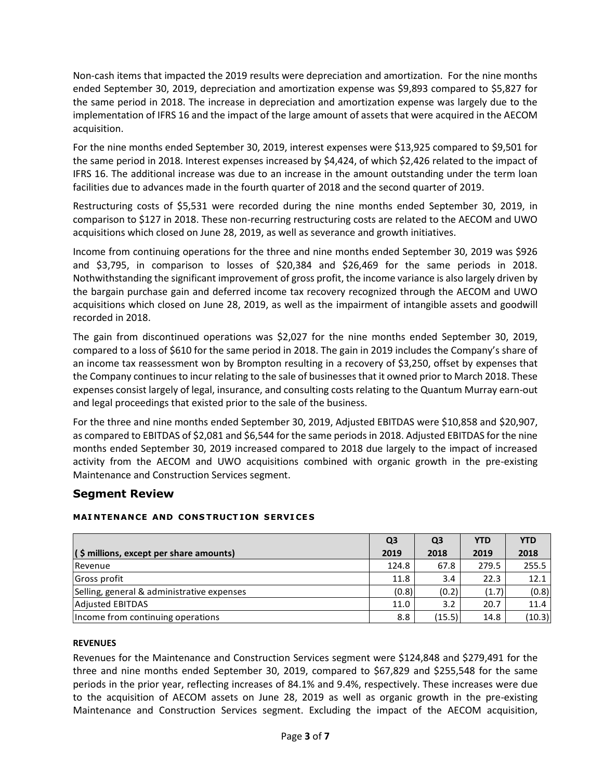Non-cash items that impacted the 2019 results were depreciation and amortization. For the nine months ended September 30, 2019, depreciation and amortization expense was \$9,893 compared to \$5,827 for the same period in 2018. The increase in depreciation and amortization expense was largely due to the implementation of IFRS 16 and the impact of the large amount of assets that were acquired in the AECOM acquisition.

For the nine months ended September 30, 2019, interest expenses were \$13,925 compared to \$9,501 for the same period in 2018. Interest expenses increased by \$4,424, of which \$2,426 related to the impact of IFRS 16. The additional increase was due to an increase in the amount outstanding under the term loan facilities due to advances made in the fourth quarter of 2018 and the second quarter of 2019.

Restructuring costs of \$5,531 were recorded during the nine months ended September 30, 2019, in comparison to \$127 in 2018. These non-recurring restructuring costs are related to the AECOM and UWO acquisitions which closed on June 28, 2019, as well as severance and growth initiatives.

Income from continuing operations for the three and nine months ended September 30, 2019 was \$926 and \$3,795, in comparison to losses of \$20,384 and \$26,469 for the same periods in 2018. Nothwithstanding the significant improvement of gross profit, the income variance is also largely driven by the bargain purchase gain and deferred income tax recovery recognized through the AECOM and UWO acquisitions which closed on June 28, 2019, as well as the impairment of intangible assets and goodwill recorded in 2018.

The gain from discontinued operations was \$2,027 for the nine months ended September 30, 2019, compared to a loss of \$610 for the same period in 2018. The gain in 2019 includes the Company's share of an income tax reassessment won by Brompton resulting in a recovery of \$3,250, offset by expenses that the Company continues to incur relating to the sale of businesses that it owned prior to March 2018. These expenses consist largely of legal, insurance, and consulting costs relating to the Quantum Murray earn-out and legal proceedings that existed prior to the sale of the business.

For the three and nine months ended September 30, 2019, Adjusted EBITDAS were \$10,858 and \$20,907, as compared to EBITDAS of \$2,081 and \$6,544 for the same periods in 2018. Adjusted EBITDAS for the nine months ended September 30, 2019 increased compared to 2018 due largely to the impact of increased activity from the AECOM and UWO acquisitions combined with organic growth in the pre-existing Maintenance and Construction Services segment.

## **Segment Review**

#### **MAI NTENANCE AND CONS TRUCT ION SERVI CE S**

|                                            | Q <sub>3</sub> | Q <sub>3</sub> | <b>YTD</b> | <b>YTD</b> |
|--------------------------------------------|----------------|----------------|------------|------------|
| $($ \$ millions, except per share amounts) | 2019           | 2018           | 2019       | 2018       |
| Revenue                                    | 124.8          | 67.8           | 279.5      | 255.5      |
| Gross profit                               | 11.8           | 3.4            | 22.3       | 12.1       |
| Selling, general & administrative expenses | (0.8)          | (0.2)          | (1.7)      | (0.8)      |
| <b>Adjusted EBITDAS</b>                    | 11.0           | 3.2            | 20.7       | 11.4       |
| Income from continuing operations          | 8.8            | (15.5)         | 14.8       | (10.3)     |

#### **REVENUES**

Revenues for the Maintenance and Construction Services segment were \$124,848 and \$279,491 for the three and nine months ended September 30, 2019, compared to \$67,829 and \$255,548 for the same periods in the prior year, reflecting increases of 84.1% and 9.4%, respectively. These increases were due to the acquisition of AECOM assets on June 28, 2019 as well as organic growth in the pre-existing Maintenance and Construction Services segment. Excluding the impact of the AECOM acquisition,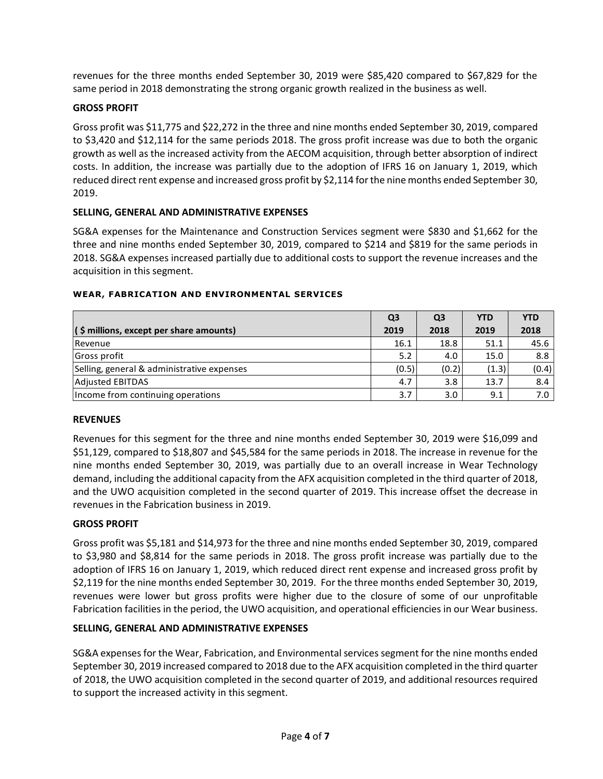revenues for the three months ended September 30, 2019 were \$85,420 compared to \$67,829 for the same period in 2018 demonstrating the strong organic growth realized in the business as well.

## **GROSS PROFIT**

Gross profit was \$11,775 and \$22,272 in the three and nine months ended September 30, 2019, compared to \$3,420 and \$12,114 for the same periods 2018. The gross profit increase was due to both the organic growth as well as the increased activity from the AECOM acquisition, through better absorption of indirect costs. In addition, the increase was partially due to the adoption of IFRS 16 on January 1, 2019, which reduced direct rent expense and increased gross profit by \$2,114 for the nine months ended September 30, 2019.

#### **SELLING, GENERAL AND ADMINISTRATIVE EXPENSES**

SG&A expenses for the Maintenance and Construction Services segment were \$830 and \$1,662 for the three and nine months ended September 30, 2019, compared to \$214 and \$819 for the same periods in 2018. SG&A expenses increased partially due to additional costs to support the revenue increases and the acquisition in this segment.

|                                            | Q <sub>3</sub> | Q <sub>3</sub> | <b>YTD</b> | <b>YTD</b> |
|--------------------------------------------|----------------|----------------|------------|------------|
| (\$ millions, except per share amounts)    | 2019           | 2018           | 2019       | 2018       |
| Revenue                                    | 16.1           | 18.8           | 51.1       | 45.6       |
| Gross profit                               | 5.2            | 4.0            | 15.0       | 8.8        |
| Selling, general & administrative expenses | (0.5)          | (0.2)          | (1.3)      | (0.4)      |
| <b>Adjusted EBITDAS</b>                    | 4.7            | 3.8            | 13.7       | 8.4        |
| Income from continuing operations          | 3.7            | 3.0            | 9.1        | 7.0        |

#### **WEAR, FABRICATION AND ENVIRONMENTAL SERVICES**

#### **REVENUES**

Revenues for this segment for the three and nine months ended September 30, 2019 were \$16,099 and \$51,129, compared to \$18,807 and \$45,584 for the same periods in 2018. The increase in revenue for the nine months ended September 30, 2019, was partially due to an overall increase in Wear Technology demand, including the additional capacity from the AFX acquisition completed in the third quarter of 2018, and the UWO acquisition completed in the second quarter of 2019. This increase offset the decrease in revenues in the Fabrication business in 2019.

#### **GROSS PROFIT**

Gross profit was \$5,181 and \$14,973 for the three and nine months ended September 30, 2019, compared to \$3,980 and \$8,814 for the same periods in 2018. The gross profit increase was partially due to the adoption of IFRS 16 on January 1, 2019, which reduced direct rent expense and increased gross profit by \$2,119 for the nine months ended September 30, 2019. For the three months ended September 30, 2019, revenues were lower but gross profits were higher due to the closure of some of our unprofitable Fabrication facilities in the period, the UWO acquisition, and operational efficiencies in our Wear business.

#### **SELLING, GENERAL AND ADMINISTRATIVE EXPENSES**

SG&A expenses for the Wear, Fabrication, and Environmental services segment for the nine months ended September 30, 2019 increased compared to 2018 due to the AFX acquisition completed in the third quarter of 2018, the UWO acquisition completed in the second quarter of 2019, and additional resources required to support the increased activity in this segment.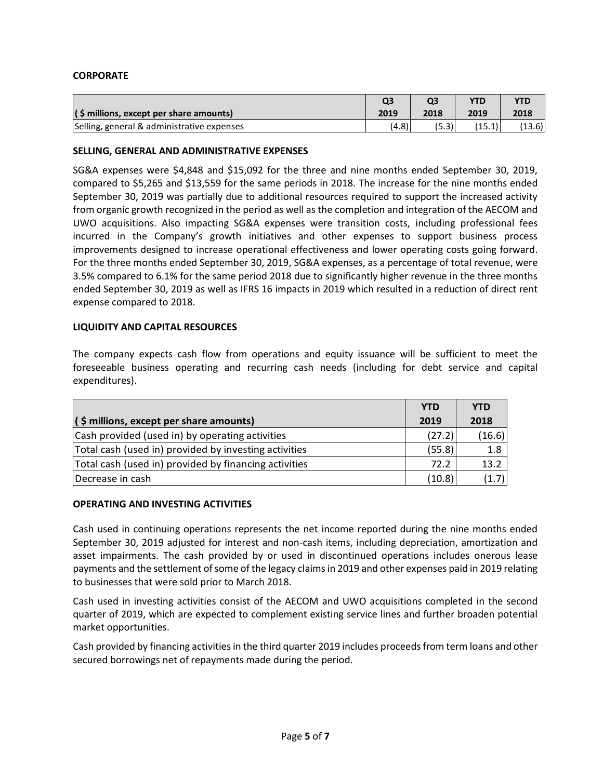## **CORPORATE**

|                                            | Q3    |       | YTD    |        |
|--------------------------------------------|-------|-------|--------|--------|
| $($ \$ millions, except per share amounts) | 2019  | 2018  | 2019   | 2018   |
| Selling, general & administrative expenses | (4.8) | (5.3) | (15.1) | (13.6) |

#### **SELLING, GENERAL AND ADMINISTRATIVE EXPENSES**

SG&A expenses were \$4,848 and \$15,092 for the three and nine months ended September 30, 2019, compared to \$5,265 and \$13,559 for the same periods in 2018. The increase for the nine months ended September 30, 2019 was partially due to additional resources required to support the increased activity from organic growth recognized in the period as well as the completion and integration of the AECOM and UWO acquisitions. Also impacting SG&A expenses were transition costs, including professional fees incurred in the Company's growth initiatives and other expenses to support business process improvements designed to increase operational effectiveness and lower operating costs going forward. For the three months ended September 30, 2019, SG&A expenses, as a percentage of total revenue, were 3.5% compared to 6.1% for the same period 2018 due to significantly higher revenue in the three months ended September 30, 2019 as well as IFRS 16 impacts in 2019 which resulted in a reduction of direct rent expense compared to 2018.

#### **LIQUIDITY AND CAPITAL RESOURCES**

The company expects cash flow from operations and equity issuance will be sufficient to meet the foreseeable business operating and recurring cash needs (including for debt service and capital expenditures).

|                                                       | <b>YTD</b> | <b>YTD</b> |
|-------------------------------------------------------|------------|------------|
| $($ \$ millions, except per share amounts)            | 2019       | 2018       |
| Cash provided (used in) by operating activities       | (27.2)     | (16.6)     |
| Total cash (used in) provided by investing activities | (55.8)     | 1.8        |
| Total cash (used in) provided by financing activities | 72.2       | 13.2       |
| Decrease in cash                                      | (10.8)     | (1.7)      |

#### **OPERATING AND INVESTING ACTIVITIES**

Cash used in continuing operations represents the net income reported during the nine months ended September 30, 2019 adjusted for interest and non-cash items, including depreciation, amortization and asset impairments. The cash provided by or used in discontinued operations includes onerous lease payments and the settlement of some of the legacy claims in 2019 and other expenses paid in 2019 relating to businesses that were sold prior to March 2018.

Cash used in investing activities consist of the AECOM and UWO acquisitions completed in the second quarter of 2019, which are expected to complement existing service lines and further broaden potential market opportunities.

Cash provided by financing activities in the third quarter 2019 includes proceeds from term loans and other secured borrowings net of repayments made during the period.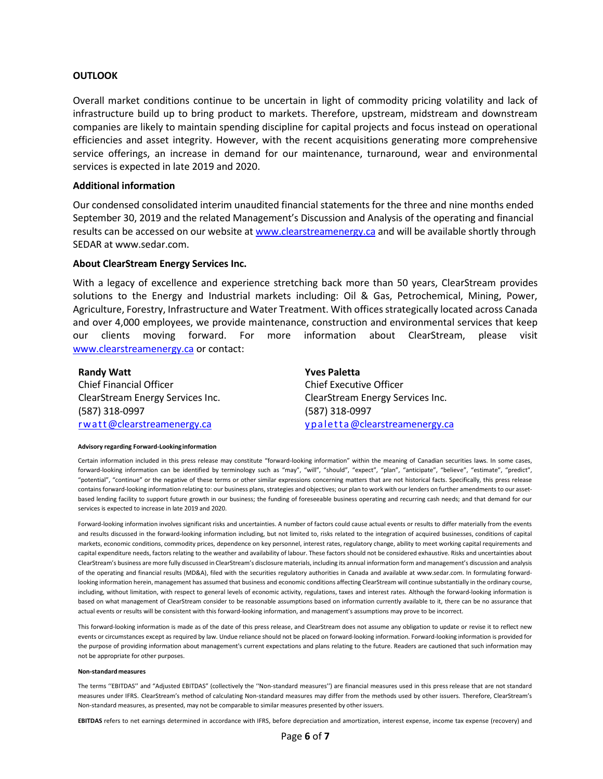#### **OUTLOOK**

Overall market conditions continue to be uncertain in light of commodity pricing volatility and lack of infrastructure build up to bring product to markets. Therefore, upstream, midstream and downstream companies are likely to maintain spending discipline for capital projects and focus instead on operational efficiencies and asset integrity. However, with the recent acquisitions generating more comprehensive service offerings, an increase in demand for our maintenance, turnaround, wear and environmental services is expected in late 2019 and 2020.

#### **Additional information**

Our condensed consolidated interim unaudited financial statements for the three and nine months ended September 30, 2019 and the related Management's Discussion and Analysis of the operating and financial results can be accessed on our website a[t www.clearstreamenergy.ca](http://www.clearstreamenergy.ca/) and will be available shortly through SEDAR at www.sedar.com.

#### **About ClearStream Energy Services Inc.**

With a legacy of excellence and experience stretching back more than 50 years, ClearStream provides solutions to the Energy and Industrial markets including: Oil & Gas, Petrochemical, Mining, Power, Agriculture, Forestry, Infrastructure and Water Treatment. With offices strategically located across Canada and over 4,000 employees, we provide maintenance, construction and environmental services that keep our clients moving forward. For more information about ClearStream, please visit [www.clearstreamenergy.ca](http://www.clearstreamenergy.ca/) or contact:

| <b>Randy Watt</b>                | <b>Yves Paletta</b>              |
|----------------------------------|----------------------------------|
| <b>Chief Financial Officer</b>   | <b>Chief Executive Officer</b>   |
| ClearStream Energy Services Inc. | ClearStream Energy Services Inc. |
| (587) 318-0997                   | (587) 318-0997                   |
| rwatt@clearstreamenergy.ca       | ypaletta@clearstreamenergy.ca    |

#### **Advisory regarding Forward-Lookinginformation**

Certain information included in this press release may constitute "forward-looking information" within the meaning of Canadian securities laws. In some cases, forward-looking information can be identified by terminology such as "may", "will", "should", "expect", "plan", "anticipate", "believe", "estimate", "predict", "potential", "continue" or the negative of these terms or other similar expressions concerning matters that are not historical facts. Specifically, this press release contains forward-looking information relating to: our business plans, strategies and objectives; our plan to work with our lenders on further amendments to our assetbased lending facility to support future growth in our business; the funding of foreseeable business operating and recurring cash needs; and that demand for our services is expected to increase in late 2019 and 2020.

Forward-looking information involves significant risks and uncertainties. A number of factors could cause actual events or results to differ materially from the events and results discussed in the forward-looking information including, but not limited to, risks related to the integration of acquired businesses, conditions of capital markets, economic conditions, commodity prices, dependence on key personnel, interest rates, regulatory change, ability to meet working capital requirements and capital expenditure needs, factors relating to the weather and availability of labour. These factors should not be considered exhaustive. Risks and uncertainties about ClearStream's business are more fully discussed in ClearStream's disclosure materials, including its annual information form and management's discussion and analysis of the operating and financial results (MD&A), filed with the securities regulatory authorities in Canada and available at www.sedar.com. In formulating forwardlooking information herein, management has assumed that business and economic conditions affecting ClearStream will continue substantially in the ordinary course, including, without limitation, with respect to general levels of economic activity, regulations, taxes and interest rates. Although the forward-looking information is based on what management of ClearStream consider to be reasonable assumptions based on information currently available to it, there can be no assurance that actual events or results will be consistent with this forward-looking information, and management's assumptions may prove to be incorrect.

This forward-looking information is made as of the date of this press release, and ClearStream does not assume any obligation to update or revise it to reflect new events or circumstances except as required by law. Undue reliance should not be placed on forward-looking information. Forward-looking information is provided for the purpose of providing information about management's current expectations and plans relating to the future. Readers are cautioned that such information may not be appropriate for other purposes.

#### **Non-standardmeasures**

The terms ''EBITDAS'' and "Adjusted EBITDAS" (collectively the ''Non-standard measures'') are financial measures used in this press release that are not standard measures under IFRS. ClearStream's method of calculating Non-standard measures may differ from the methods used by other issuers. Therefore, ClearStream's Non-standard measures, as presented, may not be comparable to similar measures presented by other issuers.

**EBITDAS** refers to net earnings determined in accordance with IFRS, before depreciation and amortization, interest expense, income tax expense (recovery) and